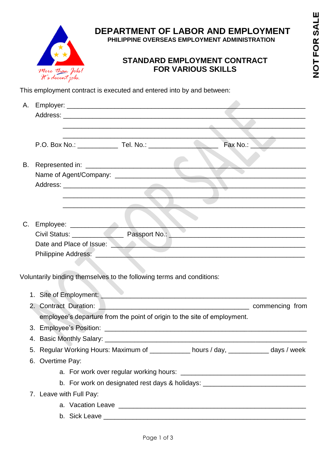

## **DEPARTMENT OF LABOR AND EMPLOYMENT**

 **PHILIPPINE OVERSEAS EMPLOYMENT ADMINISTRATION**

## **STANDARD EMPLOYMENT CONTRACT FOR VARIOUS SKILLS**

This employment contract is executed and entered into by and between:

| Α. |                       |                         |                                                                                                                        |                                                                                                                                                                                                                                |                                                                                                                      |
|----|-----------------------|-------------------------|------------------------------------------------------------------------------------------------------------------------|--------------------------------------------------------------------------------------------------------------------------------------------------------------------------------------------------------------------------------|----------------------------------------------------------------------------------------------------------------------|
|    |                       |                         |                                                                                                                        |                                                                                                                                                                                                                                |                                                                                                                      |
|    |                       |                         | <u> Andrew Maria (Andrew Maria (Andrew Maria (Andrew Maria (Andrew Maria (Andrew Maria (Andrew Maria (Andrew Maria</u> |                                                                                                                                                                                                                                | <u> 1990 - Johann Stein, mars an deus an deus Angels</u>                                                             |
|    |                       |                         |                                                                                                                        |                                                                                                                                                                                                                                |                                                                                                                      |
|    |                       |                         |                                                                                                                        |                                                                                                                                                                                                                                | Fax No.: _______________                                                                                             |
|    |                       |                         |                                                                                                                        |                                                                                                                                                                                                                                |                                                                                                                      |
| В. |                       |                         |                                                                                                                        |                                                                                                                                                                                                                                |                                                                                                                      |
|    |                       |                         |                                                                                                                        |                                                                                                                                                                                                                                |                                                                                                                      |
|    |                       |                         |                                                                                                                        |                                                                                                                                                                                                                                |                                                                                                                      |
|    |                       |                         |                                                                                                                        |                                                                                                                                                                                                                                |                                                                                                                      |
|    |                       |                         | the contract of the contract of the contract of                                                                        |                                                                                                                                                                                                                                | <u> 1990 - Johann Barbara, martin amerikan pendadaran pendadaran pendadaran pendadaran pendadaran pendadaran pen</u> |
|    |                       |                         |                                                                                                                        |                                                                                                                                                                                                                                |                                                                                                                      |
| C. |                       |                         |                                                                                                                        |                                                                                                                                                                                                                                |                                                                                                                      |
|    |                       |                         |                                                                                                                        |                                                                                                                                                                                                                                |                                                                                                                      |
|    |                       |                         |                                                                                                                        | Date and Place of Issue: <u>New York Charles and Place of Issue</u>                                                                                                                                                            |                                                                                                                      |
|    |                       |                         |                                                                                                                        |                                                                                                                                                                                                                                |                                                                                                                      |
|    |                       |                         |                                                                                                                        |                                                                                                                                                                                                                                |                                                                                                                      |
|    |                       |                         | Voluntarily binding themselves to the following terms and conditions:                                                  |                                                                                                                                                                                                                                |                                                                                                                      |
|    |                       |                         |                                                                                                                        | 1. Site of Employment: 2008 and 2009 and 2009 and 2009 and 2009 and 2009 and 2009 and 2009 and 2009 and 2009 and 2009 and 2009 and 2009 and 2009 and 2009 and 2009 and 2009 and 2009 and 2009 and 2009 and 2009 and 2009 and 2 |                                                                                                                      |
|    | 2. Contract Duration: |                         |                                                                                                                        |                                                                                                                                                                                                                                |                                                                                                                      |
|    |                       |                         |                                                                                                                        | employee's departure from the point of origin to the site of employment.                                                                                                                                                       |                                                                                                                      |
|    |                       |                         |                                                                                                                        |                                                                                                                                                                                                                                |                                                                                                                      |
|    |                       |                         |                                                                                                                        |                                                                                                                                                                                                                                |                                                                                                                      |
|    |                       |                         |                                                                                                                        |                                                                                                                                                                                                                                |                                                                                                                      |
|    |                       |                         |                                                                                                                        | 5. Regular Working Hours: Maximum of ___________ hours / day, __________ days / week                                                                                                                                           |                                                                                                                      |
|    | 6. Overtime Pay:      |                         |                                                                                                                        |                                                                                                                                                                                                                                |                                                                                                                      |
|    |                       |                         |                                                                                                                        |                                                                                                                                                                                                                                |                                                                                                                      |
|    |                       |                         |                                                                                                                        | b. For work on designated rest days & holidays: ________________________________                                                                                                                                               |                                                                                                                      |
|    |                       | 7. Leave with Full Pay: |                                                                                                                        |                                                                                                                                                                                                                                |                                                                                                                      |
|    |                       |                         |                                                                                                                        |                                                                                                                                                                                                                                |                                                                                                                      |
|    |                       |                         |                                                                                                                        |                                                                                                                                                                                                                                |                                                                                                                      |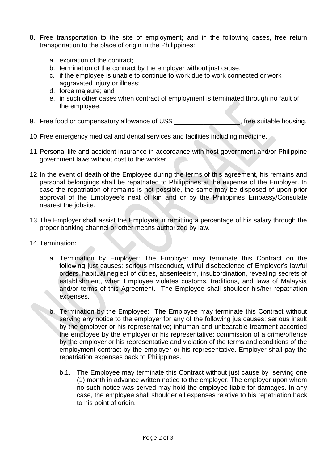- 8. Free transportation to the site of employment; and in the following cases, free return transportation to the place of origin in the Philippines:
	- a. expiration of the contract;
	- b. termination of the contract by the employer without just cause;
	- c. if the employee is unable to continue to work due to work connected or work aggravated injury or illness;
	- d. force majeure; and
	- e. in such other cases when contract of employment is terminated through no fault of the employee.
- 9. Free food or compensatory allowance of US\$ \_\_\_\_\_\_\_\_\_\_\_\_\_\_\_, free suitable housing.
- 10.Free emergency medical and dental services and facilities including medicine.
- 11.Personal life and accident insurance in accordance with host government and/or Philippine government laws without cost to the worker.
- 12.In the event of death of the Employee during the terms of this agreement, his remains and personal belongings shall be repatriated to Philippines at the expense of the Employer. In case the repatriation of remains is not possible, the same may be disposed of upon prior approval of the Employee's next of kin and or by the Philippines Embassy/Consulate nearest the jobsite.
- 13.The Employer shall assist the Employee in remitting a percentage of his salary through the proper banking channel or other means authorized by law.
- 14.Termination:
	- a. Termination by Employer: The Employer may terminate this Contract on the following just causes: serious misconduct, willful disobedience of Employer's lawful orders, habitual neglect of duties, absenteeism, insubordination, revealing secrets of establishment, when Employee violates customs, traditions, and laws of Malaysia and/or terms of this Agreement. The Employee shall shoulder his/her repatriation expenses.
	- b. Termination by the Employee: The Employee may terminate this Contract without serving any notice to the employer for any of the following jus causes: serious insult by the employer or his representative; inhuman and unbearable treatment accorded the employee by the employer or his representative; commission of a crime/offense by the employer or his representative and violation of the terms and conditions of the employment contract by the employer or his representative. Employer shall pay the repatriation expenses back to Philippines.
		- b.1. The Employee may terminate this Contract without just cause by serving one (1) month in advance written notice to the employer. The employer upon whom no such notice was served may hold the employee liable for damages. In any case, the employee shall shoulder all expenses relative to his repatriation back to his point of origin.